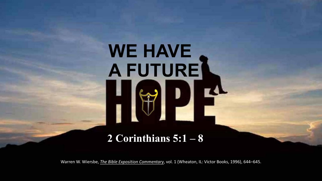# **WE HAVE A FUTURE**

#### **2 Corinthians 5:1 – 8**

Warren W. Wiersbe, *[The Bible Exposition Commentary](https://ref.ly/logosres/ntbec?ref=Bible.2Co5.1-8)*, vol. 1 (Wheaton, IL: Victor Books, 1996), 644–645.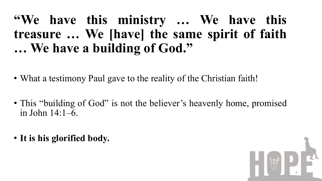#### **"We have this ministry … We have this treasure … We [have] the same spirit of faith … We have a building of God. "**

- What a testimony Paul gave to the reality of the Christian faith!
- This "building of God" is not the believer's heavenly home, promised in John 14:1–6.
- **It is his glorified body.**

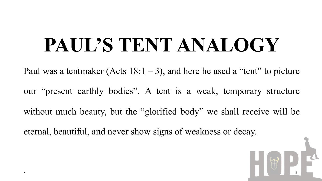### **PAUL'S TENT ANALOGY**

Paul was a tentmaker (Acts  $18:1-3$ ), and here he used a "tent" to picture our "present earthly bodies". A tent is a weak, temporary structure without much beauty, but the "glorified body" we shall receive will be eternal, beautiful, and never show signs of weakness or decay.

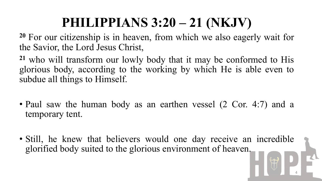### **PHILIPPIANS 3:20 – 21 (NKJV)**

**<sup>20</sup>** For our citizenship is in heaven, from which we also eagerly wait for the Savior, the Lord Jesus Christ,

**<sup>21</sup>** who will transform our lowly body that it may be conformed to His glorious body, according to the working by which He is able even to subdue all things to Himself.

- Paul saw the human body as an earthen vessel (2 Cor. 4:7) and a temporary tent.
- Still, he knew that believers would one day receive an incredible glorified body suited to the glorious environment of heaven.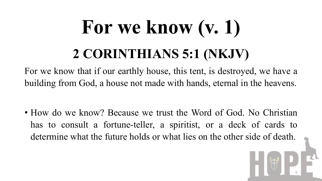### **For we know (v. 1) 2 CORINTHIANS 5:1 (NKJV)**

For we know that if our earthly house, this tent, is destroyed, we have a building from God, a house not made with hands, eternal in the heavens.

• How do we know? Because we trust the Word of God. No Christian has to consult a fortune-teller, a spiritist, or a deck of cards to determine what the future holds or what lies on the other side of death.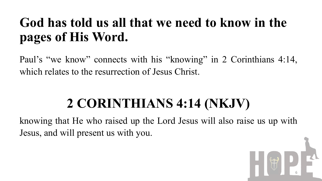### **God has told us all that we need to know in the pages of His Word.**

Paul's "we know" connects with his "knowing" in 2 Corinthians 4:14, which relates to the resurrection of Jesus Christ.

### **2 CORINTHIANS 4:14 (NKJV)**

knowing that He who raised up the Lord Jesus will also raise us up with Jesus, and will present us with you.

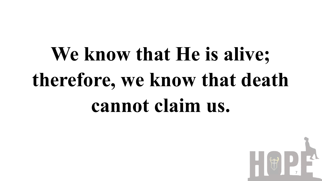## **We know that He is alive; therefore, we know that death cannot claim us.**

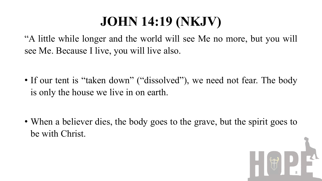### **JOHN 14:19 (NKJV)**

"A little while longer and the world will see Me no more, but you will see Me. Because I live, you will live also.

• If our tent is "taken down" ("dissolved"), we need not fear. The body is only the house we live in on earth.

• When a believer dies, the body goes to the grave, but the spirit goes to be with Christ.

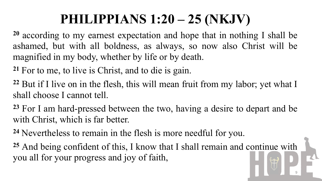### **PHILIPPIANS 1:20 – 25 (NKJV)**

**<sup>20</sup>** according to my earnest expectation and hope that in nothing I shall be ashamed, but with all boldness, as always, so now also Christ will be magnified in my body, whether by life or by death.

**<sup>21</sup>** For to me, to live is Christ, and to die is gain.

**<sup>22</sup>** But if I live on in the flesh, this will mean fruit from my labor; yet what I shall choose I cannot tell.

**<sup>23</sup>** For I am hard-pressed between the two, having a desire to depart and be with Christ, which is far better.

**<sup>24</sup>** Nevertheless to remain in the flesh is more needful for you.

**<sup>25</sup>** And being confident of this, I know that I shall remain and continue with you all for your progress and joy of faith,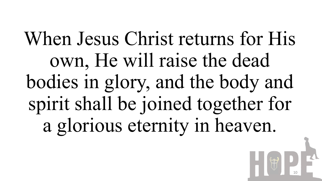When Jesus Christ returns for His own, He will raise the dead bodies in glory, and the body and spirit shall be joined together for a glorious eternity in heaven.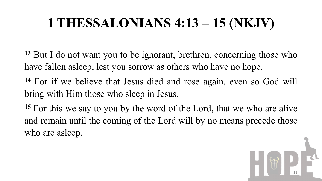### **1 THESSALONIANS 4:13 – 15 (NKJV)**

- **<sup>13</sup>** But I do not want you to be ignorant, brethren, concerning those who have fallen asleep, lest you sorrow as others who have no hope.
- **<sup>14</sup>** For if we believe that Jesus died and rose again, even so God will bring with Him those who sleep in Jesus.
- **<sup>15</sup>** For this we say to you by the word of the Lord, that we who are alive and remain until the coming of the Lord will by no means precede those who are asleep.

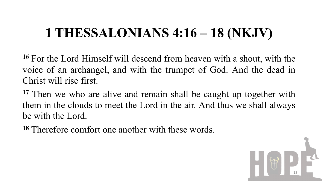### **1 THESSALONIANS 4:16 – 18 (NKJV)**

**<sup>16</sup>** For the Lord Himself will descend from heaven with a shout, with the voice of an archangel, and with the trumpet of God. And the dead in Christ will rise first.

**<sup>17</sup>** Then we who are alive and remain shall be caught up together with them in the clouds to meet the Lord in the air. And thus we shall always be with the Lord.

**<sup>18</sup>** Therefore comfort one another with these words.

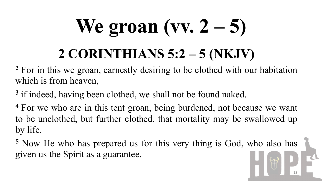# **We groan (vv. 2 – 5)**

### **2 CORINTHIANS 5:2 – 5 (NKJV)**

**<sup>2</sup>** For in this we groan, earnestly desiring to be clothed with our habitation which is from heaven,

**<sup>3</sup>** if indeed, having been clothed, we shall not be found naked.

**<sup>4</sup>** For we who are in this tent groan, being burdened, not because we want to be unclothed, but further clothed, that mortality may be swallowed up by life.

**<sup>5</sup>** Now He who has prepared us for this very thing is God, who also has given us the Spirit as a guarantee.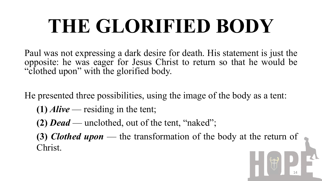### **THE GLORIFIED BODY**

Paul was not expressing a dark desire for death. His statement is just the opposite: he was eager for Jesus Christ to return so that he would be "clothed upon" with the glorified body.

He presented three possibilities, using the image of the body as a tent:

- **(1)** *Alive* residing in the tent;
- **(2)** *Dead* unclothed, out of the tent, "naked";
- **(3)** *Clothed upon* the transformation of the body at the return of Christ.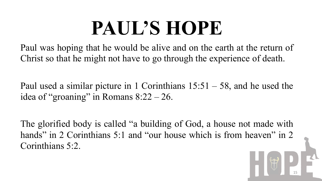### **PAUL'S HOPE**

Paul was hoping that he would be alive and on the earth at the return of Christ so that he might not have to go through the experience of death.

Paul used a similar picture in 1 Corinthians  $15:51 - 58$ , and he used the idea of "groaning" in Romans  $8:22 - 26$ .

The glorified body is called "a building of God, a house not made with hands" in 2 Corinthians 5:1 and "our house which is from heaven" in 2 Corinthians 5:2.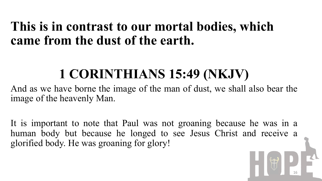#### **This is in contrast to our mortal bodies, which came from the dust of the earth.**

### **1 CORINTHIANS 15:49 (NKJV)**

And as we have borne the image of the man of dust, we shall also bear the image of the heavenly Man.

It is important to note that Paul was not groaning because he was in a human body but because he longed to see Jesus Christ and receive a glorified body. He was groaning for glory!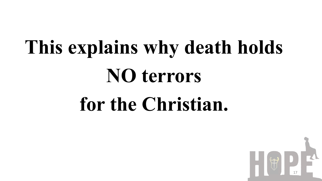# **This explains why death holds NO terrors for the Christian.**

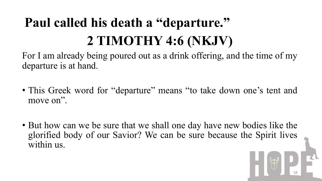### **Paul called his death a "departure." 2 TIMOTHY 4:6 (NKJV)**

For I am already being poured out as a drink offering, and the time of my departure is at hand.

- This Greek word for "departure" means "to take down one's tent and move on".
- But how can we be sure that we shall one day have new bodies like the glorified body of our Savior? We can be sure because the Spirit lives within us.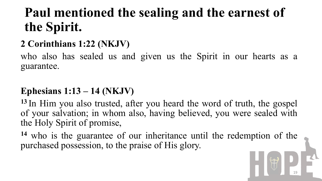### **Paul mentioned the sealing and the earnest of the Spirit.**

#### **2 Corinthians 1:22 (NKJV)**

who also has sealed us and given us the Spirit in our hearts as a guarantee.

#### **Ephesians 1:13 – 14 (NKJV)**

**<sup>13</sup>** In Him you also trusted, after you heard the word of truth, the gospel of your salvation; in whom also, having believed, you were sealed with the Holy Spirit of promise,

**<sup>14</sup>** who is the guarantee of our inheritance until the redemption of the purchased possession, to the praise of His glory.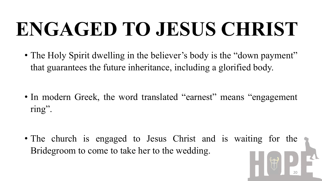### **ENGAGED TO JESUS CHRIST**

• The Holy Spirit dwelling in the believer's body is the "down payment" that guarantees the future inheritance, including a glorified body.

• In modern Greek, the word translated "earnest" means "engagement ring".

• The church is engaged to Jesus Christ and is waiting for the Bridegroom to come to take her to the wedding.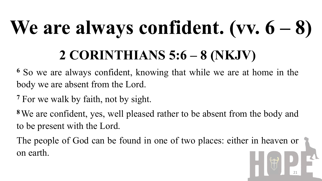# **We are always confident. (vv. 6 – 8)**

### **2 CORINTHIANS 5:6 – 8 (NKJV)**

**<sup>6</sup>** So we are always confident, knowing that while we are at home in the body we are absent from the Lord.

**<sup>7</sup>** For we walk by faith, not by sight.

**<sup>8</sup>**We are confident, yes, well pleased rather to be absent from the body and to be present with the Lord.

The people of God can be found in one of two places: either in heaven or on earth.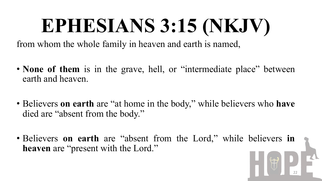### **EPHESIANS 3:15 (NKJV)**

from whom the whole family in heaven and earth is named,

- **None of them** is in the grave, hell, or "intermediate place" between earth and heaven.
- Believers **on earth** are "at home in the body," while believers who **have** died are "absent from the body."
- Believers **on earth** are "absent from the Lord," while believers **in heaven** are "present with the Lord."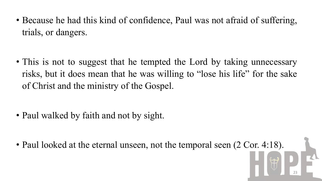• Because he had this kind of confidence, Paul was not afraid of suffering, trials, or dangers.

• This is not to suggest that he tempted the Lord by taking unnecessary risks, but it does mean that he was willing to "lose his life" for the sake of Christ and the ministry of the Gospel.

- Paul walked by faith and not by sight.
- Paul looked at the eternal unseen, not the temporal seen (2 Cor. 4:18).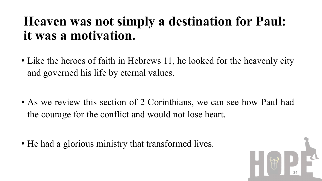#### **Heaven was not simply a destination for Paul: it was a motivation.**

• Like the heroes of faith in Hebrews 11, he looked for the heavenly city and governed his life by eternal values.

• As we review this section of 2 Corinthians, we can see how Paul had the courage for the conflict and would not lose heart.

• He had a glorious ministry that transformed lives.

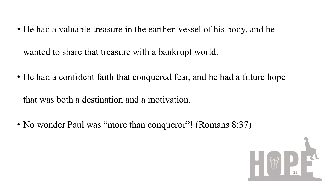- He had a valuable treasure in the earthen vessel of his body, and he wanted to share that treasure with a bankrupt world.
- He had a confident faith that conquered fear, and he had a future hope

that was both a destination and a motivation.

• No wonder Paul was "more than conqueror"! (Romans 8:37)